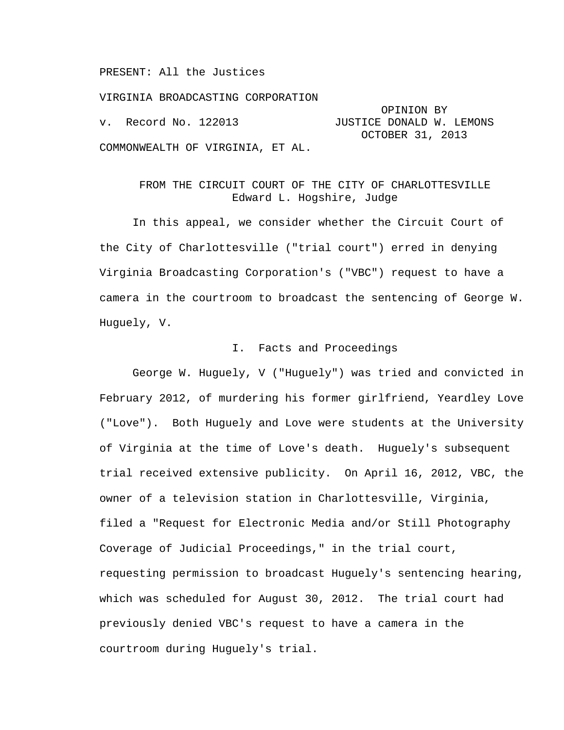PRESENT: All the Justices

VIRGINIA BROADCASTING CORPORATION OPINION BY JUSTICE DONALD W. LEMONS OCTOBER 31, 2013 COMMONWEALTH OF VIRGINIA, ET AL.

## FROM THE CIRCUIT COURT OF THE CITY OF CHARLOTTESVILLE Edward L. Hogshire, Judge

 In this appeal, we consider whether the Circuit Court of the City of Charlottesville ("trial court") erred in denying Virginia Broadcasting Corporation's ("VBC") request to have a camera in the courtroom to broadcast the sentencing of George W. Huguely, V.

### I. Facts and Proceedings

 George W. Huguely, V ("Huguely") was tried and convicted in February 2012, of murdering his former girlfriend, Yeardley Love ("Love"). Both Huguely and Love were students at the University of Virginia at the time of Love's death. Huguely's subsequent trial received extensive publicity. On April 16, 2012, VBC, the owner of a television station in Charlottesville, Virginia, filed a "Request for Electronic Media and/or Still Photography Coverage of Judicial Proceedings," in the trial court, requesting permission to broadcast Huguely's sentencing hearing, which was scheduled for August 30, 2012. The trial court had previously denied VBC's request to have a camera in the courtroom during Huguely's trial.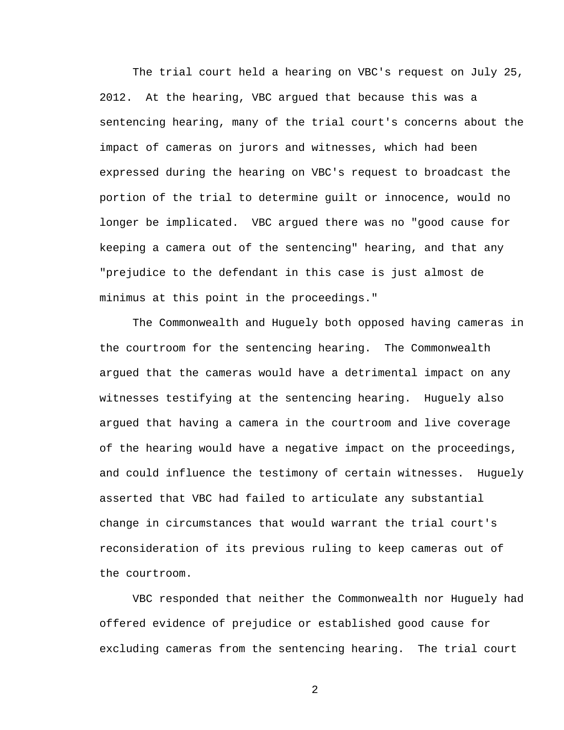The trial court held a hearing on VBC's request on July 25, 2012. At the hearing, VBC argued that because this was a sentencing hearing, many of the trial court's concerns about the impact of cameras on jurors and witnesses, which had been expressed during the hearing on VBC's request to broadcast the portion of the trial to determine guilt or innocence, would no longer be implicated. VBC argued there was no "good cause for keeping a camera out of the sentencing" hearing, and that any "prejudice to the defendant in this case is just almost de minimus at this point in the proceedings."

 The Commonwealth and Huguely both opposed having cameras in the courtroom for the sentencing hearing. The Commonwealth argued that the cameras would have a detrimental impact on any witnesses testifying at the sentencing hearing. Huguely also argued that having a camera in the courtroom and live coverage of the hearing would have a negative impact on the proceedings, and could influence the testimony of certain witnesses. Huguely asserted that VBC had failed to articulate any substantial change in circumstances that would warrant the trial court's reconsideration of its previous ruling to keep cameras out of the courtroom.

 VBC responded that neither the Commonwealth nor Huguely had offered evidence of prejudice or established good cause for excluding cameras from the sentencing hearing. The trial court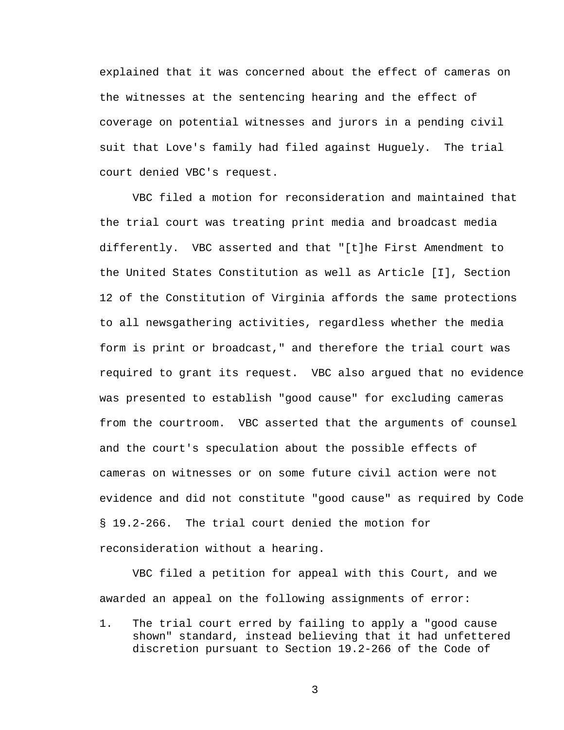explained that it was concerned about the effect of cameras on the witnesses at the sentencing hearing and the effect of coverage on potential witnesses and jurors in a pending civil suit that Love's family had filed against Huguely. The trial court denied VBC's request.

 VBC filed a motion for reconsideration and maintained that the trial court was treating print media and broadcast media differently. VBC asserted and that "[t]he First Amendment to the United States Constitution as well as Article [I], Section 12 of the Constitution of Virginia affords the same protections to all newsgathering activities, regardless whether the media form is print or broadcast," and therefore the trial court was required to grant its request. VBC also argued that no evidence was presented to establish "good cause" for excluding cameras from the courtroom. VBC asserted that the arguments of counsel and the court's speculation about the possible effects of cameras on witnesses or on some future civil action were not evidence and did not constitute "good cause" as required by Code § 19.2-266. The trial court denied the motion for reconsideration without a hearing.

 VBC filed a petition for appeal with this Court, and we awarded an appeal on the following assignments of error:

1. The trial court erred by failing to apply a "good cause shown" standard, instead believing that it had unfettered discretion pursuant to Section 19.2-266 of the Code of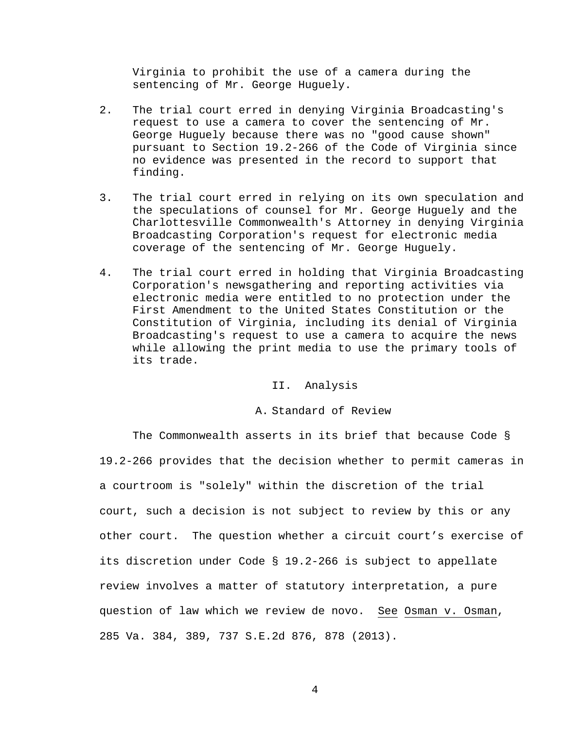Virginia to prohibit the use of a camera during the sentencing of Mr. George Huguely.

- 2. The trial court erred in denying Virginia Broadcasting's request to use a camera to cover the sentencing of Mr. George Huguely because there was no "good cause shown" pursuant to Section 19.2-266 of the Code of Virginia since no evidence was presented in the record to support that finding.
- 3. The trial court erred in relying on its own speculation and the speculations of counsel for Mr. George Huguely and the Charlottesville Commonwealth's Attorney in denying Virginia Broadcasting Corporation's request for electronic media coverage of the sentencing of Mr. George Huguely.
- 4. The trial court erred in holding that Virginia Broadcasting Corporation's newsgathering and reporting activities via electronic media were entitled to no protection under the First Amendment to the United States Constitution or the Constitution of Virginia, including its denial of Virginia Broadcasting's request to use a camera to acquire the news while allowing the print media to use the primary tools of its trade.

#### II. Analysis

A. Standard of Review

 The Commonwealth asserts in its brief that because Code § 19.2-266 provides that the decision whether to permit cameras in a courtroom is "solely" within the discretion of the trial court, such a decision is not subject to review by this or any other court. The question whether a circuit court's exercise of its discretion under Code § 19.2-266 is subject to appellate review involves a matter of statutory interpretation, a pure question of law which we review de novo. See Osman v. Osman, 285 Va. 384, 389, 737 S.E.2d 876, 878 (2013).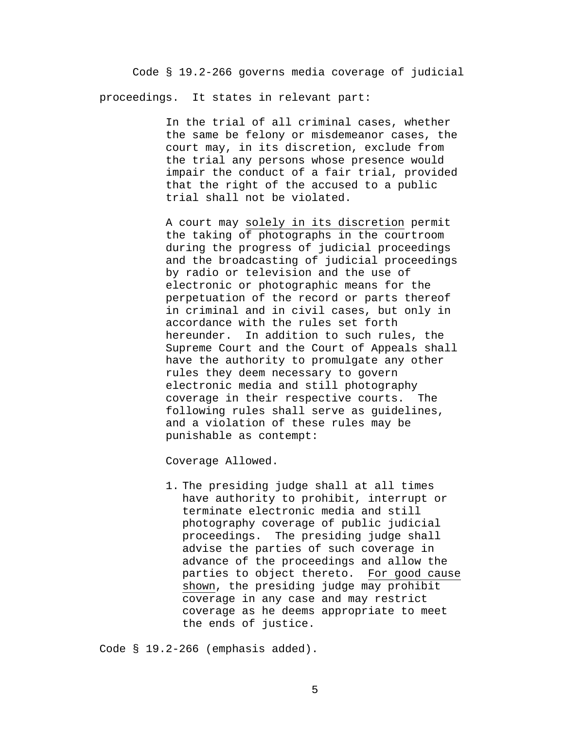Code § 19.2-266 governs media coverage of judicial proceedings. It states in relevant part:

> In the trial of all criminal cases, whether the same be felony or misdemeanor cases, the court may, in its discretion, exclude from the trial any persons whose presence would impair the conduct of a fair trial, provided that the right of the accused to a public trial shall not be violated.

> A court may solely in its discretion permit the taking of photographs in the courtroom during the progress of judicial proceedings and the broadcasting of judicial proceedings by radio or television and the use of electronic or photographic means for the perpetuation of the record or parts thereof in criminal and in civil cases, but only in accordance with the rules set forth hereunder. In addition to such rules, the Supreme Court and the Court of Appeals shall have the authority to promulgate any other rules they deem necessary to govern electronic media and still photography coverage in their respective courts. The following rules shall serve as guidelines, and a violation of these rules may be punishable as contempt:

Coverage Allowed.

1. The presiding judge shall at all times have authority to prohibit, interrupt or terminate electronic media and still photography coverage of public judicial proceedings. The presiding judge shall advise the parties of such coverage in advance of the proceedings and allow the parties to object thereto. For good cause shown, the presiding judge may prohibit coverage in any case and may restrict coverage as he deems appropriate to meet the ends of justice.

Code § 19.2-266 (emphasis added).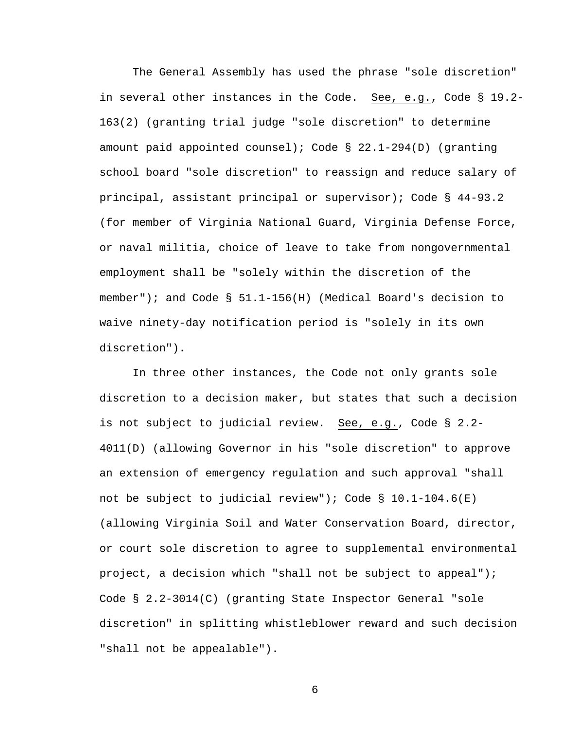The General Assembly has used the phrase "sole discretion" in several other instances in the Code. See, e.g., Code § 19.2- 163(2) (granting trial judge "sole discretion" to determine amount paid appointed counsel); Code § 22.1-294(D) (granting school board "sole discretion" to reassign and reduce salary of principal, assistant principal or supervisor); Code § 44-93.2 (for member of Virginia National Guard, Virginia Defense Force, or naval militia, choice of leave to take from nongovernmental employment shall be "solely within the discretion of the member"); and Code § 51.1-156(H) (Medical Board's decision to waive ninety-day notification period is "solely in its own discretion").

In three other instances, the Code not only grants sole discretion to a decision maker, but states that such a decision is not subject to judicial review. See, e.g., Code § 2.2- 4011(D) (allowing Governor in his "sole discretion" to approve an extension of emergency regulation and such approval "shall not be subject to judicial review"); Code  $\S$  10.1-104.6(E) (allowing Virginia Soil and Water Conservation Board, director, or court sole discretion to agree to supplemental environmental project, a decision which "shall not be subject to appeal"); Code § 2.2-3014(C) (granting State Inspector General "sole discretion" in splitting whistleblower reward and such decision "shall not be appealable").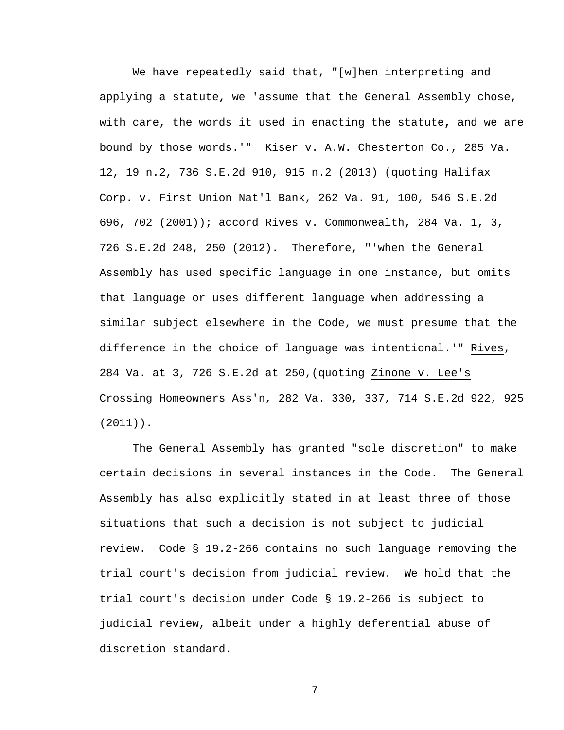We have repeatedly said that, "[w]hen interpreting and applying a statute**,** we 'assume that the General Assembly chose, with care, the words it used in enacting the statute**,** and we are bound by those words.'" [Kiser v. A.W. Chesterton Co., 285 Va.](http://www.lexis.com/research/buttonTFLink?_m=a58bb86cd9d6b5ac8e1685c179bf7a36&_xfercite=%3ccite%20cc%3d%22USA%22%3e%3c%21%5bCDATA%5b285%20Va.%20604%5d%5d%3e%3c%2fcite%3e&_butType=3&_butStat=2&_butNum=74&_butInline=1&_butinfo=%3ccite%20cc%3d%22USA%22%3e%3c%21%5bCDATA%5b285%20Va.%2012%2c%2019%5d%5d%3e%3c%2fcite%3e&_fmtstr=FULL&docnum=1&_startdoc=1&wchp=dGLbVzk-zSkAA&_md5=d6567499e03b6cd4c96d6bbf7301ec2d)  [12, 19 n.2, 736 S.E.2d 910, 915 n.2 \(2013\)](http://www.lexis.com/research/buttonTFLink?_m=a58bb86cd9d6b5ac8e1685c179bf7a36&_xfercite=%3ccite%20cc%3d%22USA%22%3e%3c%21%5bCDATA%5b285%20Va.%20604%5d%5d%3e%3c%2fcite%3e&_butType=3&_butStat=2&_butNum=74&_butInline=1&_butinfo=%3ccite%20cc%3d%22USA%22%3e%3c%21%5bCDATA%5b285%20Va.%2012%2c%2019%5d%5d%3e%3c%2fcite%3e&_fmtstr=FULL&docnum=1&_startdoc=1&wchp=dGLbVzk-zSkAA&_md5=d6567499e03b6cd4c96d6bbf7301ec2d) (quoting [Halifax](http://www.lexis.com/research/buttonTFLink?_m=a58bb86cd9d6b5ac8e1685c179bf7a36&_xfercite=%3ccite%20cc%3d%22USA%22%3e%3c%21%5bCDATA%5b285%20Va.%20604%5d%5d%3e%3c%2fcite%3e&_butType=3&_butStat=2&_butNum=75&_butInline=1&_butinfo=%3ccite%20cc%3d%22USA%22%3e%3c%21%5bCDATA%5b262%20Va.%2091%2c%20100%5d%5d%3e%3c%2fcite%3e&_fmtstr=FULL&docnum=1&_startdoc=1&wchp=dGLbVzk-zSkAA&_md5=cbf6a6c8d8ceff71542ea20b115cef1e)  [Corp. v. First Union Nat'l Bank, 262 Va. 91, 100, 546 S.E.2d](http://www.lexis.com/research/buttonTFLink?_m=a58bb86cd9d6b5ac8e1685c179bf7a36&_xfercite=%3ccite%20cc%3d%22USA%22%3e%3c%21%5bCDATA%5b285%20Va.%20604%5d%5d%3e%3c%2fcite%3e&_butType=3&_butStat=2&_butNum=75&_butInline=1&_butinfo=%3ccite%20cc%3d%22USA%22%3e%3c%21%5bCDATA%5b262%20Va.%2091%2c%20100%5d%5d%3e%3c%2fcite%3e&_fmtstr=FULL&docnum=1&_startdoc=1&wchp=dGLbVzk-zSkAA&_md5=cbf6a6c8d8ceff71542ea20b115cef1e)  [696, 702 \(2001\)\);](http://www.lexis.com/research/buttonTFLink?_m=a58bb86cd9d6b5ac8e1685c179bf7a36&_xfercite=%3ccite%20cc%3d%22USA%22%3e%3c%21%5bCDATA%5b285%20Va.%20604%5d%5d%3e%3c%2fcite%3e&_butType=3&_butStat=2&_butNum=75&_butInline=1&_butinfo=%3ccite%20cc%3d%22USA%22%3e%3c%21%5bCDATA%5b262%20Va.%2091%2c%20100%5d%5d%3e%3c%2fcite%3e&_fmtstr=FULL&docnum=1&_startdoc=1&wchp=dGLbVzk-zSkAA&_md5=cbf6a6c8d8ceff71542ea20b115cef1e) accord [Rives v. Commonwealth, 284 Va. 1, 3,](http://www.lexis.com/research/buttonTFLink?_m=a58bb86cd9d6b5ac8e1685c179bf7a36&_xfercite=%3ccite%20cc%3d%22USA%22%3e%3c%21%5bCDATA%5b285%20Va.%20604%5d%5d%3e%3c%2fcite%3e&_butType=3&_butStat=2&_butNum=76&_butInline=1&_butinfo=%3ccite%20cc%3d%22USA%22%3e%3c%21%5bCDATA%5b284%20Va.%201%2c%203%5d%5d%3e%3c%2fcite%3e&_fmtstr=FULL&docnum=1&_startdoc=1&wchp=dGLbVzk-zSkAA&_md5=37aa4f952e03765b33c3883f4c193192)  [726 S.E.2d 248, 250 \(2012\).](http://www.lexis.com/research/buttonTFLink?_m=a58bb86cd9d6b5ac8e1685c179bf7a36&_xfercite=%3ccite%20cc%3d%22USA%22%3e%3c%21%5bCDATA%5b285%20Va.%20604%5d%5d%3e%3c%2fcite%3e&_butType=3&_butStat=2&_butNum=76&_butInline=1&_butinfo=%3ccite%20cc%3d%22USA%22%3e%3c%21%5bCDATA%5b284%20Va.%201%2c%203%5d%5d%3e%3c%2fcite%3e&_fmtstr=FULL&docnum=1&_startdoc=1&wchp=dGLbVzk-zSkAA&_md5=37aa4f952e03765b33c3883f4c193192) Therefore, "'when the General Assembly has used specific language in one instance, but omits that language or uses different language when addressing a similar subject elsewhere in the Code, we must presume that the difference in the choice of language was intentional.'" Rives, 284 Va. at 3, 726 S.E.2d at 250,(quoting [Zinone v. Lee's](http://www.lexis.com/research/buttonTFLink?_m=a58bb86cd9d6b5ac8e1685c179bf7a36&_xfercite=%3ccite%20cc%3d%22USA%22%3e%3c%21%5bCDATA%5b285%20Va.%20604%5d%5d%3e%3c%2fcite%3e&_butType=3&_butStat=2&_butNum=77&_butInline=1&_butinfo=%3ccite%20cc%3d%22USA%22%3e%3c%21%5bCDATA%5b282%20Va.%20330%2c%20337%5d%5d%3e%3c%2fcite%3e&_fmtstr=FULL&docnum=1&_startdoc=1&wchp=dGLbVzk-zSkAA&_md5=3548f5d1889085a85f5fcd0e957b729d)  [Crossing Homeowners Ass'n, 282 Va. 330, 337, 714 S.E.2d 922, 925](http://www.lexis.com/research/buttonTFLink?_m=a58bb86cd9d6b5ac8e1685c179bf7a36&_xfercite=%3ccite%20cc%3d%22USA%22%3e%3c%21%5bCDATA%5b285%20Va.%20604%5d%5d%3e%3c%2fcite%3e&_butType=3&_butStat=2&_butNum=77&_butInline=1&_butinfo=%3ccite%20cc%3d%22USA%22%3e%3c%21%5bCDATA%5b282%20Va.%20330%2c%20337%5d%5d%3e%3c%2fcite%3e&_fmtstr=FULL&docnum=1&_startdoc=1&wchp=dGLbVzk-zSkAA&_md5=3548f5d1889085a85f5fcd0e957b729d)  [\(2011\)\).](http://www.lexis.com/research/buttonTFLink?_m=a58bb86cd9d6b5ac8e1685c179bf7a36&_xfercite=%3ccite%20cc%3d%22USA%22%3e%3c%21%5bCDATA%5b285%20Va.%20604%5d%5d%3e%3c%2fcite%3e&_butType=3&_butStat=2&_butNum=77&_butInline=1&_butinfo=%3ccite%20cc%3d%22USA%22%3e%3c%21%5bCDATA%5b282%20Va.%20330%2c%20337%5d%5d%3e%3c%2fcite%3e&_fmtstr=FULL&docnum=1&_startdoc=1&wchp=dGLbVzk-zSkAA&_md5=3548f5d1889085a85f5fcd0e957b729d)

The General Assembly has granted "sole discretion" to make certain decisions in several instances in the Code. The General Assembly has also explicitly stated in at least three of those situations that such a decision is not subject to judicial review. Code § 19.2-266 contains no such language removing the trial court's decision from judicial review. We hold that the trial court's decision under Code § 19.2-266 is subject to judicial review, albeit under a highly deferential abuse of discretion standard.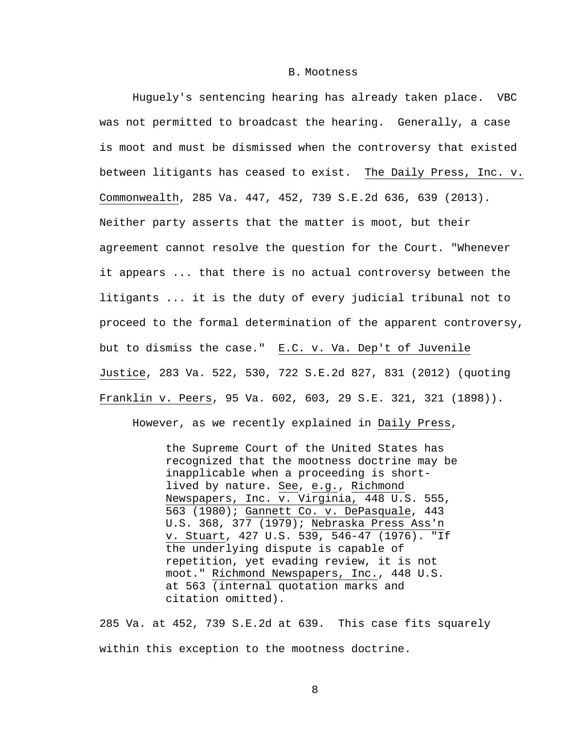#### B. Mootness

Huguely's sentencing hearing has already taken place. VBC was not permitted to broadcast the hearing. Generally, a case is moot and must be dismissed when the controversy that existed between litigants has ceased to exist. The Daily Press, Inc. v. Commonwealth, 285 Va. 447, 452, 739 S.E.2d 636, 639 (2013). Neither party asserts that the matter is moot, but their agreement cannot resolve the question for the Court. "Whenever it appears ... that there is no actual controversy between the litigants ... it is the duty of every judicial tribunal not to proceed to the formal determination of the apparent controversy, but to dismiss the case." E.C. v. Va. Dep't of Juvenile Justice, 283 Va. 522, 530, 722 S.E.2d 827, 831 (2012) (quoting Franklin v. Peers, 95 Va. 602, 603, 29 S.E. 321, 321 (1898)).

However, as we recently explained in Daily Press,

the Supreme Court of the United States has recognized that the mootness doctrine may be inapplicable when a proceeding is shortlived by nature. See, e.g., [Richmond](http://www.lexis.com/research/buttonTFLink?_m=3db7528115c2e953c6a5207dc2484f40&_xfercite=%3ccite%20cc%3d%22USA%22%3e%3c%21%5bCDATA%5b285%20Va.%20447%5d%5d%3e%3c%2fcite%3e&_butType=3&_butStat=2&_butNum=21&_butInline=1&_butinfo=%3ccite%20cc%3d%22USA%22%3e%3c%21%5bCDATA%5b448%20U.S.%20555%2c%20563%5d%5d%3e%3c%2fcite%3e&_fmtstr=FULL&docnum=1&_startdoc=1&wchp=dGLzVzt-zSkAb&_md5=e5ee1574db9127085b245f51663bb847)  [Newspapers, Inc. v. Virginia, 448 U.S. 555,](http://www.lexis.com/research/buttonTFLink?_m=3db7528115c2e953c6a5207dc2484f40&_xfercite=%3ccite%20cc%3d%22USA%22%3e%3c%21%5bCDATA%5b285%20Va.%20447%5d%5d%3e%3c%2fcite%3e&_butType=3&_butStat=2&_butNum=21&_butInline=1&_butinfo=%3ccite%20cc%3d%22USA%22%3e%3c%21%5bCDATA%5b448%20U.S.%20555%2c%20563%5d%5d%3e%3c%2fcite%3e&_fmtstr=FULL&docnum=1&_startdoc=1&wchp=dGLzVzt-zSkAb&_md5=e5ee1574db9127085b245f51663bb847)  [563 \(1980\);](http://www.lexis.com/research/buttonTFLink?_m=3db7528115c2e953c6a5207dc2484f40&_xfercite=%3ccite%20cc%3d%22USA%22%3e%3c%21%5bCDATA%5b285%20Va.%20447%5d%5d%3e%3c%2fcite%3e&_butType=3&_butStat=2&_butNum=21&_butInline=1&_butinfo=%3ccite%20cc%3d%22USA%22%3e%3c%21%5bCDATA%5b448%20U.S.%20555%2c%20563%5d%5d%3e%3c%2fcite%3e&_fmtstr=FULL&docnum=1&_startdoc=1&wchp=dGLzVzt-zSkAb&_md5=e5ee1574db9127085b245f51663bb847) [Gannett Co. v. DePasquale, 443](http://www.lexis.com/research/buttonTFLink?_m=3db7528115c2e953c6a5207dc2484f40&_xfercite=%3ccite%20cc%3d%22USA%22%3e%3c%21%5bCDATA%5b285%20Va.%20447%5d%5d%3e%3c%2fcite%3e&_butType=3&_butStat=2&_butNum=22&_butInline=1&_butinfo=%3ccite%20cc%3d%22USA%22%3e%3c%21%5bCDATA%5b443%20U.S.%20368%2c%20377%5d%5d%3e%3c%2fcite%3e&_fmtstr=FULL&docnum=1&_startdoc=1&wchp=dGLzVzt-zSkAb&_md5=5be2bb7c679cd148c797154bd628b24b)  [U.S. 368, 377 \(1979\);](http://www.lexis.com/research/buttonTFLink?_m=3db7528115c2e953c6a5207dc2484f40&_xfercite=%3ccite%20cc%3d%22USA%22%3e%3c%21%5bCDATA%5b285%20Va.%20447%5d%5d%3e%3c%2fcite%3e&_butType=3&_butStat=2&_butNum=22&_butInline=1&_butinfo=%3ccite%20cc%3d%22USA%22%3e%3c%21%5bCDATA%5b443%20U.S.%20368%2c%20377%5d%5d%3e%3c%2fcite%3e&_fmtstr=FULL&docnum=1&_startdoc=1&wchp=dGLzVzt-zSkAb&_md5=5be2bb7c679cd148c797154bd628b24b) [Nebraska Press Ass'n](http://www.lexis.com/research/buttonTFLink?_m=3db7528115c2e953c6a5207dc2484f40&_xfercite=%3ccite%20cc%3d%22USA%22%3e%3c%21%5bCDATA%5b285%20Va.%20447%5d%5d%3e%3c%2fcite%3e&_butType=3&_butStat=2&_butNum=23&_butInline=1&_butinfo=%3ccite%20cc%3d%22USA%22%3e%3c%21%5bCDATA%5b427%20U.S.%20539%2c%20546%5d%5d%3e%3c%2fcite%3e&_fmtstr=FULL&docnum=1&_startdoc=1&wchp=dGLzVzt-zSkAb&_md5=be01c2f1144b0acedd517e50926bd20b)  [v. Stuart, 427 U.S. 539, 546-47 \(1976\).](http://www.lexis.com/research/buttonTFLink?_m=3db7528115c2e953c6a5207dc2484f40&_xfercite=%3ccite%20cc%3d%22USA%22%3e%3c%21%5bCDATA%5b285%20Va.%20447%5d%5d%3e%3c%2fcite%3e&_butType=3&_butStat=2&_butNum=23&_butInline=1&_butinfo=%3ccite%20cc%3d%22USA%22%3e%3c%21%5bCDATA%5b427%20U.S.%20539%2c%20546%5d%5d%3e%3c%2fcite%3e&_fmtstr=FULL&docnum=1&_startdoc=1&wchp=dGLzVzt-zSkAb&_md5=be01c2f1144b0acedd517e50926bd20b) "If the underlying dispute is capable of repetition, yet evading review, it is not moot." [Richmond Newspapers, Inc., 448 U.S.](http://www.lexis.com/research/buttonTFLink?_m=3db7528115c2e953c6a5207dc2484f40&_xfercite=%3ccite%20cc%3d%22USA%22%3e%3c%21%5bCDATA%5b285%20Va.%20447%5d%5d%3e%3c%2fcite%3e&_butType=3&_butStat=2&_butNum=24&_butInline=1&_butinfo=%3ccite%20cc%3d%22USA%22%3e%3c%21%5bCDATA%5b448%20U.S.%20555%2c%20563%5d%5d%3e%3c%2fcite%3e&_fmtstr=FULL&docnum=1&_startdoc=1&wchp=dGLzVzt-zSkAb&_md5=94df16a1c0c620fa2570382e9073b6dc)  [at 563](http://www.lexis.com/research/buttonTFLink?_m=3db7528115c2e953c6a5207dc2484f40&_xfercite=%3ccite%20cc%3d%22USA%22%3e%3c%21%5bCDATA%5b285%20Va.%20447%5d%5d%3e%3c%2fcite%3e&_butType=3&_butStat=2&_butNum=24&_butInline=1&_butinfo=%3ccite%20cc%3d%22USA%22%3e%3c%21%5bCDATA%5b448%20U.S.%20555%2c%20563%5d%5d%3e%3c%2fcite%3e&_fmtstr=FULL&docnum=1&_startdoc=1&wchp=dGLzVzt-zSkAb&_md5=94df16a1c0c620fa2570382e9073b6dc) (internal quotation marks and citation omitted).

285 Va. at 452, 739 S.E.2d at 639. This case fits squarely within this exception to the mootness doctrine.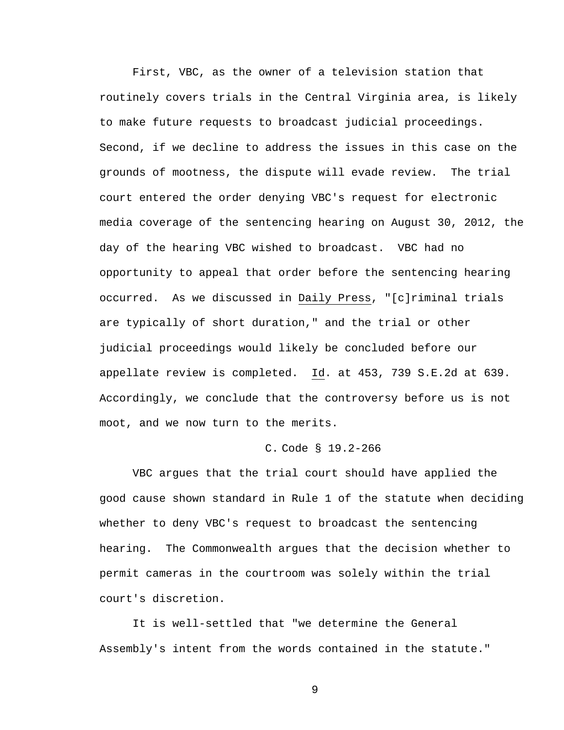First, VBC, as the owner of a television station that routinely covers trials in the Central Virginia area, is likely to make future requests to broadcast judicial proceedings. Second, if we decline to address the issues in this case on the grounds of mootness, the dispute will evade review. The trial court entered the order denying VBC's request for electronic media coverage of the sentencing hearing on August 30, 2012, the day of the hearing VBC wished to broadcast. VBC had no opportunity to appeal that order before the sentencing hearing occurred. As we discussed in Daily Press, "[c]riminal trials are typically of short duration," and the trial or other judicial proceedings would likely be concluded before our appellate review is completed. Id. at 453, 739 S.E.2d at 639. Accordingly, we conclude that the controversy before us is not moot, and we now turn to the merits.

### C. Code § 19.2-266

 VBC argues that the trial court should have applied the good cause shown standard in Rule 1 of the statute when deciding whether to deny VBC's request to broadcast the sentencing hearing. The Commonwealth argues that the decision whether to permit cameras in the courtroom was solely within the trial court's discretion.

It is well-settled that "we determine the General Assembly's intent from the words contained in the statute."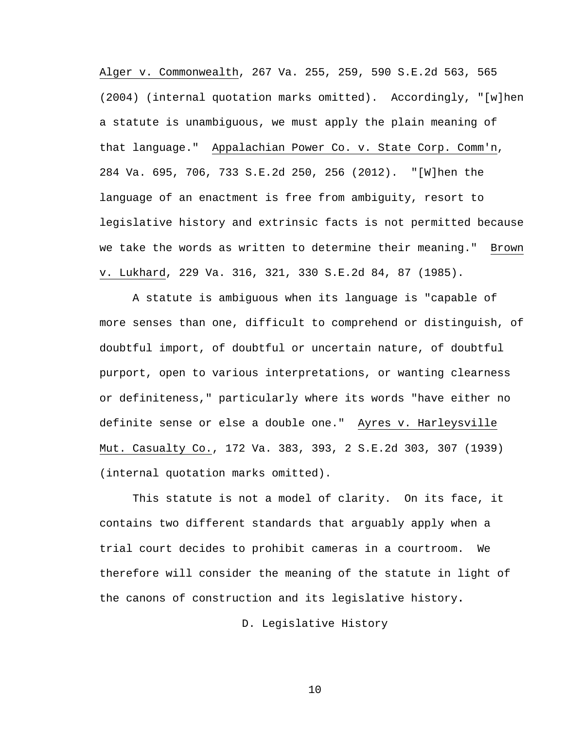[Alger v. Commonwealth, 267 Va. 255, 259, 590 S.E.2d 563, 565](http://www.lexis.com/research/buttonTFLink?_m=a58bb86cd9d6b5ac8e1685c179bf7a36&_xfercite=%3ccite%20cc%3d%22USA%22%3e%3c%21%5bCDATA%5b285%20Va.%20604%5d%5d%3e%3c%2fcite%3e&_butType=3&_butStat=2&_butNum=58&_butInline=1&_butinfo=%3ccite%20cc%3d%22USA%22%3e%3c%21%5bCDATA%5b267%20Va.%20255%2c%20259%5d%5d%3e%3c%2fcite%3e&_fmtstr=FULL&docnum=1&_startdoc=1&wchp=dGLbVzk-zSkAA&_md5=9dc9d4fb947e541c4c4f2d4b01afd6b9)  [\(2004\)](http://www.lexis.com/research/buttonTFLink?_m=a58bb86cd9d6b5ac8e1685c179bf7a36&_xfercite=%3ccite%20cc%3d%22USA%22%3e%3c%21%5bCDATA%5b285%20Va.%20604%5d%5d%3e%3c%2fcite%3e&_butType=3&_butStat=2&_butNum=58&_butInline=1&_butinfo=%3ccite%20cc%3d%22USA%22%3e%3c%21%5bCDATA%5b267%20Va.%20255%2c%20259%5d%5d%3e%3c%2fcite%3e&_fmtstr=FULL&docnum=1&_startdoc=1&wchp=dGLbVzk-zSkAA&_md5=9dc9d4fb947e541c4c4f2d4b01afd6b9) (internal quotation marks omitted). Accordingly, "[w]hen a statute is unambiguous, we must apply the plain meaning of that language." [Appalachian Power Co. v. State Corp. Comm'n,](http://www.lexis.com/research/buttonTFLink?_m=a58bb86cd9d6b5ac8e1685c179bf7a36&_xfercite=%3ccite%20cc%3d%22USA%22%3e%3c%21%5bCDATA%5b285%20Va.%20604%5d%5d%3e%3c%2fcite%3e&_butType=3&_butStat=2&_butNum=59&_butInline=1&_butinfo=%3ccite%20cc%3d%22USA%22%3e%3c%21%5bCDATA%5b284%20Va.%20695%2c%20706%5d%5d%3e%3c%2fcite%3e&_fmtstr=FULL&docnum=1&_startdoc=1&wchp=dGLbVzk-zSkAA&_md5=7799534f98c39be6bc60abc2196738ee)  [284 Va. 695, 706, 733 S.E.2d 250, 256 \(2012\).](http://www.lexis.com/research/buttonTFLink?_m=a58bb86cd9d6b5ac8e1685c179bf7a36&_xfercite=%3ccite%20cc%3d%22USA%22%3e%3c%21%5bCDATA%5b285%20Va.%20604%5d%5d%3e%3c%2fcite%3e&_butType=3&_butStat=2&_butNum=59&_butInline=1&_butinfo=%3ccite%20cc%3d%22USA%22%3e%3c%21%5bCDATA%5b284%20Va.%20695%2c%20706%5d%5d%3e%3c%2fcite%3e&_fmtstr=FULL&docnum=1&_startdoc=1&wchp=dGLbVzk-zSkAA&_md5=7799534f98c39be6bc60abc2196738ee) "[W]hen the language of an enactment is free from ambiguity, resort to legislative history and extrinsic facts is not permitted because we take the words as written to determine their meaning." [Brown](http://www.lexis.com/research/buttonTFLink?_m=a58bb86cd9d6b5ac8e1685c179bf7a36&_xfercite=%3ccite%20cc%3d%22USA%22%3e%3c%21%5bCDATA%5b285%20Va.%20604%5d%5d%3e%3c%2fcite%3e&_butType=3&_butStat=2&_butNum=60&_butInline=1&_butinfo=%3ccite%20cc%3d%22USA%22%3e%3c%21%5bCDATA%5b229%20Va.%20316%2c%20321%5d%5d%3e%3c%2fcite%3e&_fmtstr=FULL&docnum=1&_startdoc=1&wchp=dGLbVzk-zSkAA&_md5=80be31d5994e08132cbfd3aeaab927f1)  [v. Lukhard, 229 Va. 316, 321, 330 S.E.2d 84, 87 \(1985\).](http://www.lexis.com/research/buttonTFLink?_m=a58bb86cd9d6b5ac8e1685c179bf7a36&_xfercite=%3ccite%20cc%3d%22USA%22%3e%3c%21%5bCDATA%5b285%20Va.%20604%5d%5d%3e%3c%2fcite%3e&_butType=3&_butStat=2&_butNum=60&_butInline=1&_butinfo=%3ccite%20cc%3d%22USA%22%3e%3c%21%5bCDATA%5b229%20Va.%20316%2c%20321%5d%5d%3e%3c%2fcite%3e&_fmtstr=FULL&docnum=1&_startdoc=1&wchp=dGLbVzk-zSkAA&_md5=80be31d5994e08132cbfd3aeaab927f1)

A statute is ambiguous when its language is "capable of more senses than one, difficult to comprehend or distinguish, of doubtful import, of doubtful or uncertain nature, of doubtful purport, open to various interpretations, or wanting clearness or definiteness," particularly where its words "have either no definite sense or else a double one." [Ayres v. Harleysville](http://www.lexis.com/research/buttonTFLink?_m=a58bb86cd9d6b5ac8e1685c179bf7a36&_xfercite=%3ccite%20cc%3d%22USA%22%3e%3c%21%5bCDATA%5b285%20Va.%20604%5d%5d%3e%3c%2fcite%3e&_butType=3&_butStat=2&_butNum=62&_butInline=1&_butinfo=%3ccite%20cc%3d%22USA%22%3e%3c%21%5bCDATA%5b172%20Va.%20383%2c%20393%5d%5d%3e%3c%2fcite%3e&_fmtstr=FULL&docnum=1&_startdoc=1&wchp=dGLbVzk-zSkAA&_md5=244e9c530fd19978708203bc089cdc80)  [Mut. Casualty Co., 172 Va. 383, 393, 2 S.E.2d 303, 307 \(1939\)](http://www.lexis.com/research/buttonTFLink?_m=a58bb86cd9d6b5ac8e1685c179bf7a36&_xfercite=%3ccite%20cc%3d%22USA%22%3e%3c%21%5bCDATA%5b285%20Va.%20604%5d%5d%3e%3c%2fcite%3e&_butType=3&_butStat=2&_butNum=62&_butInline=1&_butinfo=%3ccite%20cc%3d%22USA%22%3e%3c%21%5bCDATA%5b172%20Va.%20383%2c%20393%5d%5d%3e%3c%2fcite%3e&_fmtstr=FULL&docnum=1&_startdoc=1&wchp=dGLbVzk-zSkAA&_md5=244e9c530fd19978708203bc089cdc80) (internal quotation marks omitted).

This statute is not a model of clarity. On its face, it contains two different standards that arguably apply when a trial court decides to prohibit cameras in a courtroom. We therefore will consider the meaning of the statute in light of the canons of construction and its legislative history**.** 

D. Legislative History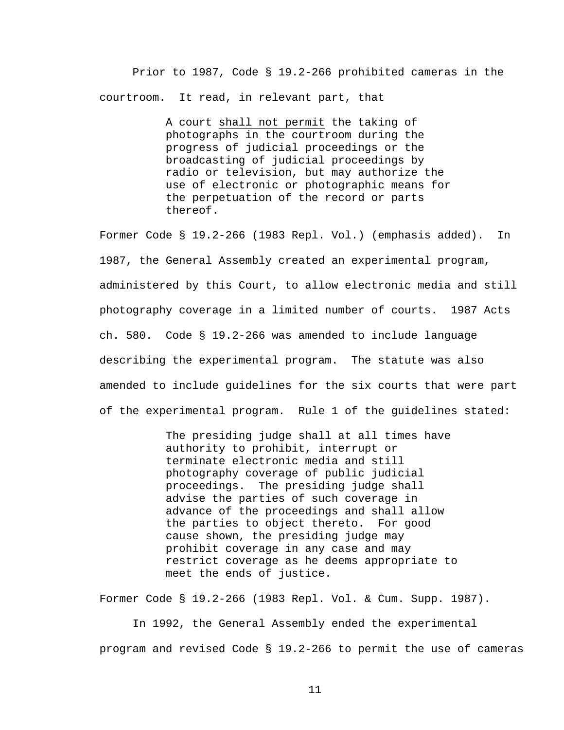Prior to 1987, Code § 19.2-266 prohibited cameras in the courtroom. It read, in relevant part, that

> A court shall not permit the taking of photographs in the courtroom during the progress of judicial proceedings or the broadcasting of judicial proceedings by radio or television, but may authorize the use of electronic or photographic means for the perpetuation of the record or parts thereof.

Former Code § 19.2-266 (1983 Repl. Vol.) (emphasis added). In 1987, the General Assembly created an experimental program, administered by this Court, to allow electronic media and still photography coverage in a limited number of courts. 1987 Acts ch. 580. Code § 19.2-266 was amended to include language describing the experimental program. The statute was also amended to include guidelines for the six courts that were part of the experimental program. Rule 1 of the guidelines stated:

> The presiding judge shall at all times have authority to prohibit, interrupt or terminate electronic media and still photography coverage of public judicial proceedings. The presiding judge shall advise the parties of such coverage in advance of the proceedings and shall allow the parties to object thereto. For good cause shown, the presiding judge may prohibit coverage in any case and may restrict coverage as he deems appropriate to meet the ends of justice.

Former Code § 19.2-266 (1983 Repl. Vol. & Cum. Supp. 1987).

 In 1992, the General Assembly ended the experimental program and revised Code § 19.2-266 to permit the use of cameras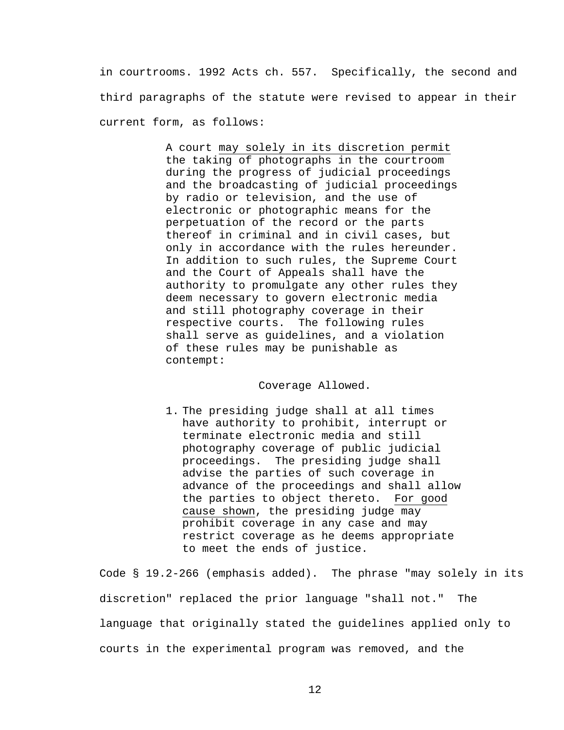in courtrooms. 1992 Acts ch. 557. Specifically, the second and third paragraphs of the statute were revised to appear in their current form, as follows:

> A court may solely in its discretion permit the taking of photographs in the courtroom during the progress of judicial proceedings and the broadcasting of judicial proceedings by radio or television, and the use of electronic or photographic means for the perpetuation of the record or the parts thereof in criminal and in civil cases, but only in accordance with the rules hereunder. In addition to such rules, the Supreme Court and the Court of Appeals shall have the authority to promulgate any other rules they deem necessary to govern electronic media and still photography coverage in their respective courts. The following rules shall serve as guidelines, and a violation of these rules may be punishable as contempt:

#### Coverage Allowed.

1. The presiding judge shall at all times have authority to prohibit, interrupt or terminate electronic media and still photography coverage of public judicial proceedings. The presiding judge shall advise the parties of such coverage in advance of the proceedings and shall allow the parties to object thereto. For good cause shown, the presiding judge may prohibit coverage in any case and may restrict coverage as he deems appropriate to meet the ends of justice.

Code § 19.2-266 (emphasis added). The phrase "may solely in its discretion" replaced the prior language "shall not." The language that originally stated the guidelines applied only to courts in the experimental program was removed, and the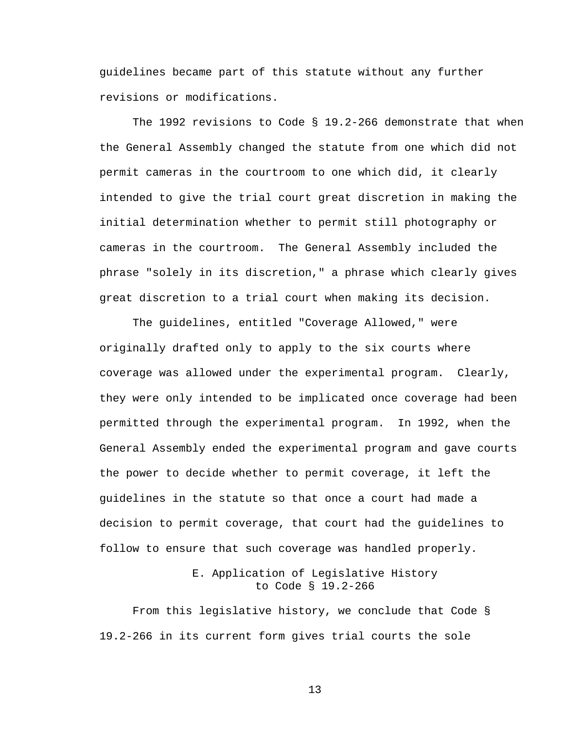guidelines became part of this statute without any further revisions or modifications.

 The 1992 revisions to Code § 19.2-266 demonstrate that when the General Assembly changed the statute from one which did not permit cameras in the courtroom to one which did, it clearly intended to give the trial court great discretion in making the initial determination whether to permit still photography or cameras in the courtroom. The General Assembly included the phrase "solely in its discretion," a phrase which clearly gives great discretion to a trial court when making its decision.

The guidelines, entitled "Coverage Allowed," were originally drafted only to apply to the six courts where coverage was allowed under the experimental program. Clearly, they were only intended to be implicated once coverage had been permitted through the experimental program. In 1992, when the General Assembly ended the experimental program and gave courts the power to decide whether to permit coverage, it left the guidelines in the statute so that once a court had made a decision to permit coverage, that court had the guidelines to follow to ensure that such coverage was handled properly.

## E. Application of Legislative History to Code § 19.2-266

From this legislative history, we conclude that Code § 19.2-266 in its current form gives trial courts the sole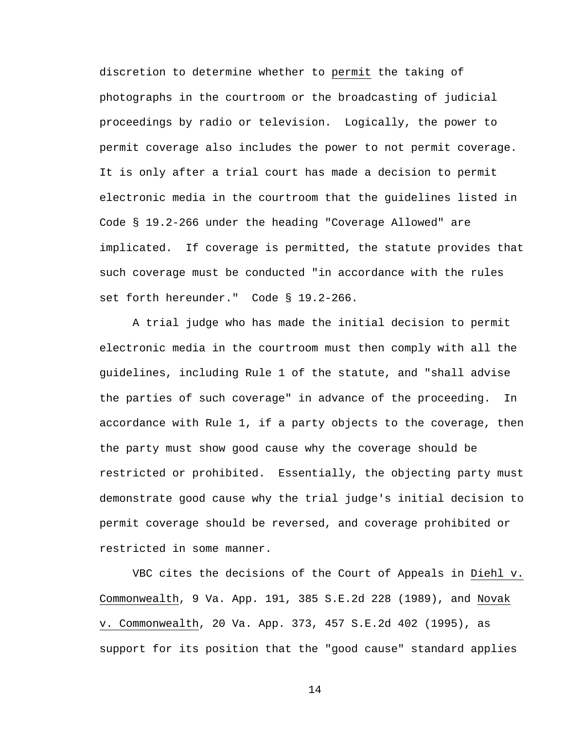discretion to determine whether to permit the taking of photographs in the courtroom or the broadcasting of judicial proceedings by radio or television. Logically, the power to permit coverage also includes the power to not permit coverage. It is only after a trial court has made a decision to permit electronic media in the courtroom that the guidelines listed in Code § 19.2-266 under the heading "Coverage Allowed" are implicated. If coverage is permitted, the statute provides that such coverage must be conducted "in accordance with the rules set forth hereunder." Code § 19.2-266.

A trial judge who has made the initial decision to permit electronic media in the courtroom must then comply with all the guidelines, including Rule 1 of the statute, and "shall advise the parties of such coverage" in advance of the proceeding. In accordance with Rule 1, if a party objects to the coverage, then the party must show good cause why the coverage should be restricted or prohibited. Essentially, the objecting party must demonstrate good cause why the trial judge's initial decision to permit coverage should be reversed, and coverage prohibited or restricted in some manner.

VBC cites the decisions of the Court of Appeals in Diehl v. Commonwealth, 9 Va. App. 191, 385 S.E.2d 228 (1989), and Novak v. Commonwealth, 20 Va. App. 373, 457 S.E.2d 402 (1995), as support for its position that the "good cause" standard applies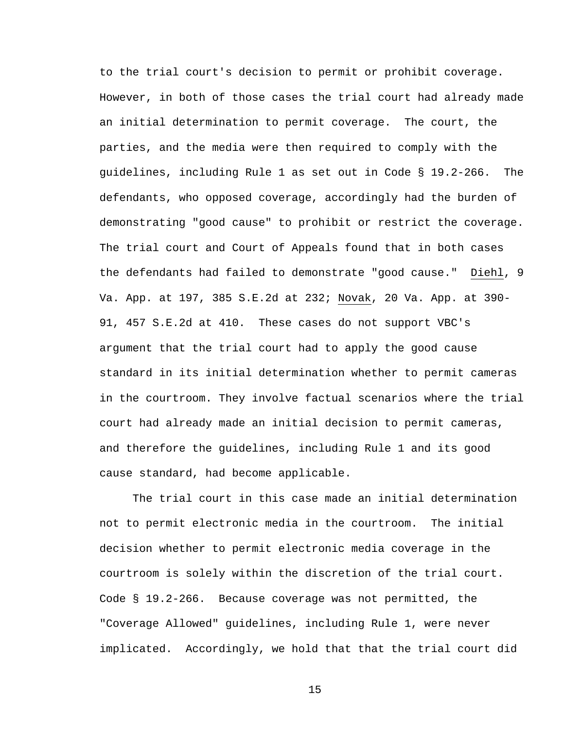to the trial court's decision to permit or prohibit coverage. However, in both of those cases the trial court had already made an initial determination to permit coverage. The court, the parties, and the media were then required to comply with the guidelines, including Rule 1 as set out in Code § 19.2-266. The defendants, who opposed coverage, accordingly had the burden of demonstrating "good cause" to prohibit or restrict the coverage. The trial court and Court of Appeals found that in both cases the defendants had failed to demonstrate "good cause." Diehl, 9 Va. App. at 197, 385 S.E.2d at 232; Novak, 20 Va. App. at 390- 91, 457 S.E.2d at 410. These cases do not support VBC's argument that the trial court had to apply the good cause standard in its initial determination whether to permit cameras in the courtroom. They involve factual scenarios where the trial court had already made an initial decision to permit cameras, and therefore the guidelines, including Rule 1 and its good cause standard, had become applicable.

The trial court in this case made an initial determination not to permit electronic media in the courtroom. The initial decision whether to permit electronic media coverage in the courtroom is solely within the discretion of the trial court. Code § 19.2-266. Because coverage was not permitted, the "Coverage Allowed" guidelines, including Rule 1, were never implicated. Accordingly, we hold that that the trial court did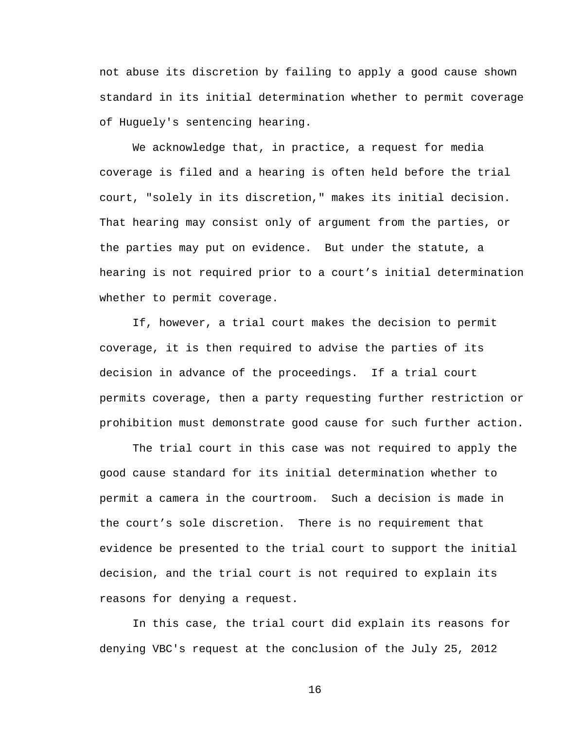not abuse its discretion by failing to apply a good cause shown standard in its initial determination whether to permit coverage of Huguely's sentencing hearing.

We acknowledge that, in practice, a request for media coverage is filed and a hearing is often held before the trial court, "solely in its discretion," makes its initial decision. That hearing may consist only of argument from the parties, or the parties may put on evidence. But under the statute, a hearing is not required prior to a court's initial determination whether to permit coverage.

If, however, a trial court makes the decision to permit coverage, it is then required to advise the parties of its decision in advance of the proceedings. If a trial court permits coverage, then a party requesting further restriction or prohibition must demonstrate good cause for such further action.

The trial court in this case was not required to apply the good cause standard for its initial determination whether to permit a camera in the courtroom. Such a decision is made in the court's sole discretion. There is no requirement that evidence be presented to the trial court to support the initial decision, and the trial court is not required to explain its reasons for denying a request.

In this case, the trial court did explain its reasons for denying VBC's request at the conclusion of the July 25, 2012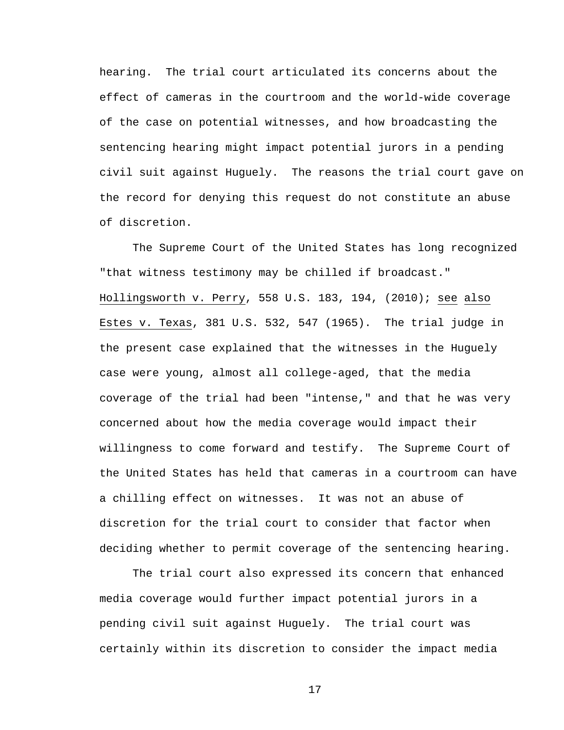hearing. The trial court articulated its concerns about the effect of cameras in the courtroom and the world-wide coverage of the case on potential witnesses, and how broadcasting the sentencing hearing might impact potential jurors in a pending civil suit against Huguely. The reasons the trial court gave on the record for denying this request do not constitute an abuse of discretion.

 The Supreme Court of the United States has long recognized "that witness testimony may be chilled if broadcast." Hollingsworth v. Perry, 558 U.S. 183, 194, (2010); see also Estes v. Texas, 381 U.S. 532, 547 (1965). The trial judge in the present case explained that the witnesses in the Huguely case were young, almost all college-aged, that the media coverage of the trial had been "intense," and that he was very concerned about how the media coverage would impact their willingness to come forward and testify. The Supreme Court of the United States has held that cameras in a courtroom can have a chilling effect on witnesses. It was not an abuse of discretion for the trial court to consider that factor when deciding whether to permit coverage of the sentencing hearing.

 The trial court also expressed its concern that enhanced media coverage would further impact potential jurors in a pending civil suit against Huguely. The trial court was certainly within its discretion to consider the impact media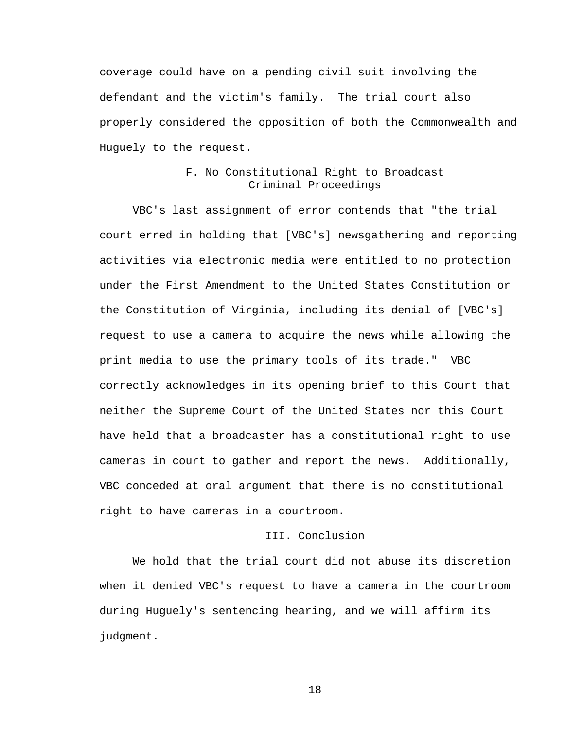coverage could have on a pending civil suit involving the defendant and the victim's family. The trial court also properly considered the opposition of both the Commonwealth and Huguely to the request.

### F. No Constitutional Right to Broadcast Criminal Proceedings

VBC's last assignment of error contends that "the trial court erred in holding that [VBC's] newsgathering and reporting activities via electronic media were entitled to no protection under the First Amendment to the United States Constitution or the Constitution of Virginia, including its denial of [VBC's] request to use a camera to acquire the news while allowing the print media to use the primary tools of its trade." VBC correctly acknowledges in its opening brief to this Court that neither the Supreme Court of the United States nor this Court have held that a broadcaster has a constitutional right to use cameras in court to gather and report the news. Additionally, VBC conceded at oral argument that there is no constitutional right to have cameras in a courtroom.

# III. Conclusion

 We hold that the trial court did not abuse its discretion when it denied VBC's request to have a camera in the courtroom during Huguely's sentencing hearing, and we will affirm its judgment.